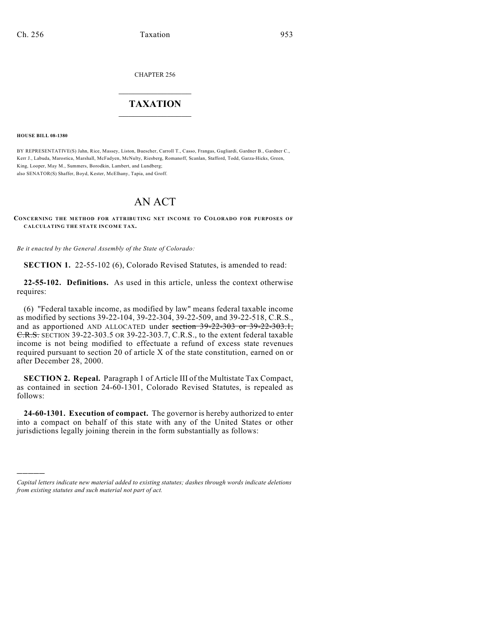CHAPTER 256

# $\mathcal{L}_\text{max}$  . The set of the set of the set of the set of the set of the set of the set of the set of the set of the set of the set of the set of the set of the set of the set of the set of the set of the set of the set **TAXATION**  $\_$

**HOUSE BILL 08-1380**

)))))

BY REPRESENTATIVE(S) Jahn, Rice, Massey, Liston, Buescher, Carroll T., Casso, Frangas, Gagliardi, Gardner B., Gardner C., Kerr J., Labuda, Marostica, Marshall, McFadyen, McNulty, Riesberg, Romanoff, Scanlan, Stafford, Todd, Garza-Hicks, Green, King, Looper, May M., Summers, Borodkin, Lambert, and Lundberg; also SENATOR(S) Shaffer, Boyd, Kester, McElhany, Tapia, and Groff.

# AN ACT

**CONCERNING THE METHOD FOR ATTRIBUTING NET INCOME TO COLORADO FOR PURPOSES OF CALCULATING THE STATE INCOME TAX.**

*Be it enacted by the General Assembly of the State of Colorado:*

**SECTION 1.** 22-55-102 (6), Colorado Revised Statutes, is amended to read:

**22-55-102. Definitions.** As used in this article, unless the context otherwise requires:

(6) "Federal taxable income, as modified by law" means federal taxable income as modified by sections 39-22-104, 39-22-304, 39-22-509, and 39-22-518, C.R.S., and as apportioned AND ALLOCATED under section 39-22-303 or 39-22-303.1, C.R.S. SECTION 39-22-303.5 OR 39-22-303.7, C.R.S., to the extent federal taxable income is not being modified to effectuate a refund of excess state revenues required pursuant to section 20 of article X of the state constitution, earned on or after December 28, 2000.

**SECTION 2. Repeal.** Paragraph 1 of Article III of the Multistate Tax Compact, as contained in section 24-60-1301, Colorado Revised Statutes, is repealed as follows:

**24-60-1301. Execution of compact.** The governor is hereby authorized to enter into a compact on behalf of this state with any of the United States or other jurisdictions legally joining therein in the form substantially as follows:

*Capital letters indicate new material added to existing statutes; dashes through words indicate deletions from existing statutes and such material not part of act.*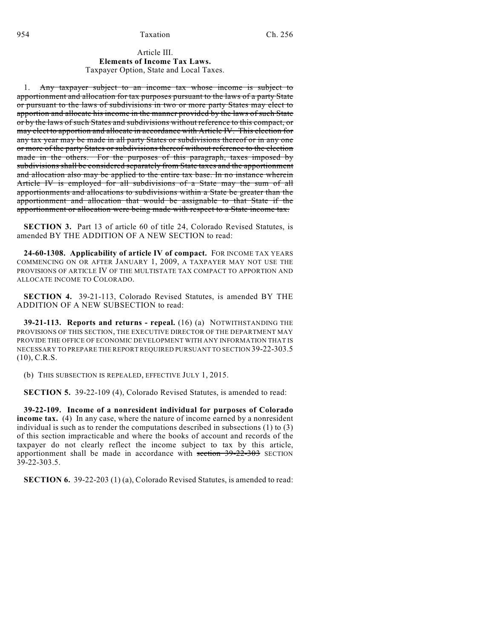## Article III. **Elements of Income Tax Laws.** Taxpayer Option, State and Local Taxes.

1. Any taxpayer subject to an income tax whose income is subject to apportionment and allocation for tax purposes pursuant to the laws of a party State or pursuant to the laws of subdivisions in two or more party States may elect to apportion and allocate his income in the manner provided by the laws of such State or by the laws of such States and subdivisions without reference to this compact, or may elect to apportion and allocate in accordance with Article IV. This election for any tax year may be made in all party States or subdivisions thereof or in any one or more of the party States or subdivisions thereof without reference to the election made in the others. For the purposes of this paragraph, taxes imposed by subdivisions shall be considered separately from State taxes and the apportionment and allocation also may be applied to the entire tax base. In no instance wherein Article IV is employed for all subdivisions of a State may the sum of all apportionments and allocations to subdivisions within a State be greater than the apportionment and allocation that would be assignable to that State if the apportionment or allocation were being made with respect to a State income tax.

**SECTION 3.** Part 13 of article 60 of title 24, Colorado Revised Statutes, is amended BY THE ADDITION OF A NEW SECTION to read:

**24-60-1308. Applicability of article IV of compact.** FOR INCOME TAX YEARS COMMENCING ON OR AFTER JANUARY 1, 2009, A TAXPAYER MAY NOT USE THE PROVISIONS OF ARTICLE IV OF THE MULTISTATE TAX COMPACT TO APPORTION AND ALLOCATE INCOME TO COLORADO.

**SECTION 4.** 39-21-113, Colorado Revised Statutes, is amended BY THE ADDITION OF A NEW SUBSECTION to read:

**39-21-113. Reports and returns - repeal.** (16) (a) NOTWITHSTANDING THE PROVISIONS OF THIS SECTION, THE EXECUTIVE DIRECTOR OF THE DEPARTMENT MAY PROVIDE THE OFFICE OF ECONOMIC DEVELOPMENT WITH ANY INFORMATION THAT IS NECESSARY TO PREPARE THE REPORT REQUIRED PURSUANT TO SECTION 39-22-303.5 (10), C.R.S.

(b) THIS SUBSECTION IS REPEALED, EFFECTIVE JULY 1, 2015.

**SECTION 5.** 39-22-109 (4), Colorado Revised Statutes, is amended to read:

**39-22-109. Income of a nonresident individual for purposes of Colorado income tax.** (4) In any case, where the nature of income earned by a nonresident individual is such as to render the computations described in subsections (1) to (3) of this section impracticable and where the books of account and records of the taxpayer do not clearly reflect the income subject to tax by this article, apportionment shall be made in accordance with section  $39-22-303$  SECTION  $39 - 22 - 303.5$ .

**SECTION 6.** 39-22-203 (1) (a), Colorado Revised Statutes, is amended to read: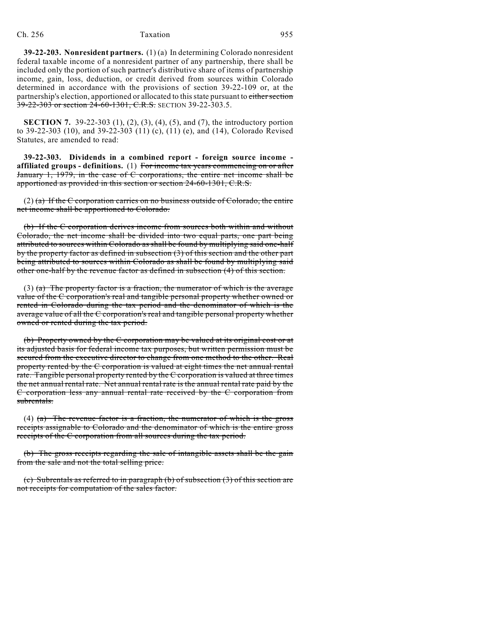**39-22-203. Nonresident partners.** (1) (a) In determining Colorado nonresident federal taxable income of a nonresident partner of any partnership, there shall be included only the portion of such partner's distributive share of items of partnership income, gain, loss, deduction, or credit derived from sources within Colorado determined in accordance with the provisions of section 39-22-109 or, at the partnership's election, apportioned or allocated to this state pursuant to either section 39-22-303 or section 24-60-1301, C.R.S. SECTION 39-22-303.5.

**SECTION 7.** 39-22-303 (1), (2), (3), (4), (5), and (7), the introductory portion to 39-22-303 (10), and 39-22-303 (11) (c), (11) (e), and (14), Colorado Revised Statutes, are amended to read:

**39-22-303. Dividends in a combined report - foreign source income affiliated groups - definitions.** (1) For income tax years commencing on or after January 1, 1979, in the case of C corporations, the entire net income shall be apportioned as provided in this section or section 24-60-1301, C.R.S.

 $(2)$  (a) If the C corporation carries on no business outside of Colorado, the entire net income shall be apportioned to Colorado.

(b) If the C corporation derives income from sources both within and without Colorado, the net income shall be divided into two equal parts, one part being attributed to sources within Colorado as shall be found by multiplying said one-half by the property factor as defined in subsection (3) of this section and the other part being attributed to sources within Colorado as shall be found by multiplying said other one-half by the revenue factor as defined in subsection (4) of this section.

(3)  $(a)$  The property factor is a fraction, the numerator of which is the average value of the C corporation's real and tangible personal property whether owned or rented in Colorado during the tax period and the denominator of which is the average value of all the C corporation's real and tangible personal property whether owned or rented during the tax period.

(b) Property owned by the C corporation may be valued at its original cost or at its adjusted basis for federal income tax purposes, but written permission must be secured from the executive director to change from one method to the other. Real property rented by the C corporation is valued at eight times the net annual rental rate. Tangible personal property rented by the C corporation is valued at three times the net annual rental rate. Net annual rental rate is the annual rental rate paid by the C corporation less any annual rental rate received by the C corporation from subrentals.

(4)  $(a)$  The revenue factor is a fraction, the numerator of which is the gross receipts assignable to Colorado and the denominator of which is the entire gross receipts of the C corporation from all sources during the tax period.

(b) The gross receipts regarding the sale of intangible assets shall be the gain from the sale and not the total selling price.

(c) Subrentals as referred to in paragraph (b) of subsection (3) of this section are not receipts for computation of the sales factor.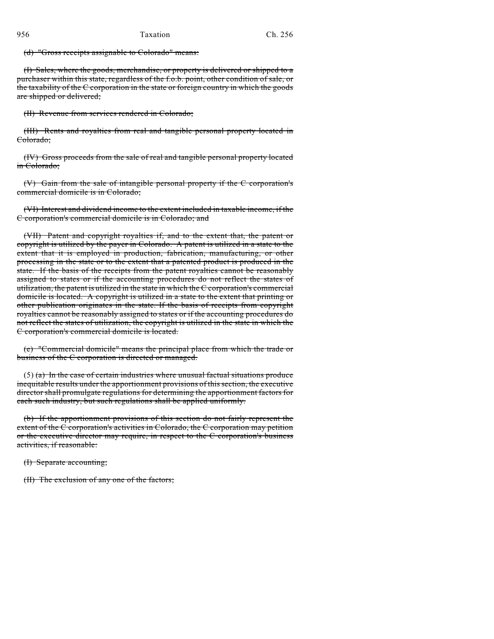(d) "Gross receipts assignable to Colorado" means:

(I) Sales, where the goods, merchandise, or property is delivered or shipped to a purchaser within this state, regardless of the f.o.b. point, other condition of sale, or the taxability of the C corporation in the state or foreign country in which the goods are shipped or delivered;

(II) Revenue from services rendered in Colorado;

(III) Rents and royalties from real and tangible personal property located in Colorado;

(IV) Gross proceeds from the sale of real and tangible personal property located in Colorado;

(V) Gain from the sale of intangible personal property if the C corporation's commercial domicile is in Colorado;

(VI) Interest and dividend income to the extent included in taxable income, if the C corporation's commercial domicile is in Colorado; and

(VII) Patent and copyright royalties if, and to the extent that, the patent or copyright is utilized by the payer in Colorado. A patent is utilized in a state to the extent that it is employed in production, fabrication, manufacturing, or other processing in the state or to the extent that a patented product is produced in the state. If the basis of the receipts from the patent royalties cannot be reasonably assigned to states or if the accounting procedures do not reflect the states of utilization, the patent is utilized in the state in which the C corporation's commercial domicile is located. A copyright is utilized in a state to the extent that printing or other publication originates in the state. If the basis of receipts from copyright royalties cannot be reasonably assigned to states or if the accounting procedures do not reflect the states of utilization, the copyright is utilized in the state in which the C corporation's commercial domicile is located.

(e) "Commercial domicile" means the principal place from which the trade or business of the C corporation is directed or managed.

 $(5)$  (a) In the case of certain industries where unusual factual situations produce inequitable results under the apportionment provisions of this section, the executive director shall promulgate regulations for determining the apportionment factors for each such industry, but such regulations shall be applied uniformly.

(b) If the apportionment provisions of this section do not fairly represent the extent of the C corporation's activities in Colorado, the C corporation may petition or the executive director may require, in respect to the C corporation's business activities, if reasonable:

(I) Separate accounting;

(II) The exclusion of any one of the factors;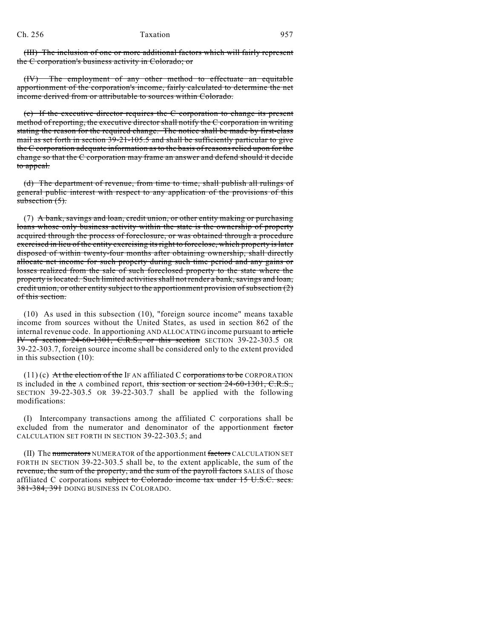(III) The inclusion of one or more additional factors which will fairly represent the C corporation's business activity in Colorado; or

(IV) The employment of any other method to effectuate an equitable apportionment of the corporation's income, fairly calculated to determine the net income derived from or attributable to sources within Colorado.

(c) If the executive director requires the C corporation to change its present method of reporting, the executive director shall notify the C corporation in writing stating the reason for the required change. The notice shall be made by first-class mail as set forth in section  $39-21-105.5$  and shall be sufficiently particular to give the C corporation adequate information as to the basis of reasons relied upon for the change so that the C corporation may frame an answer and defend should it decide to appeal.

(d) The department of revenue, from time to time, shall publish all rulings of general public interest with respect to any application of the provisions of this subsection  $(5)$ .

(7) A bank, savings and loan, credit union, or other entity making or purchasing loans whose only business activity within the state is the ownership of property acquired through the process of foreclosure, or was obtained through a procedure exercised in lieu of the entity exercising its right to foreclose, which property is later disposed of within twenty-four months after obtaining ownership, shall directly allocate net income for such property during such time period and any gains or losses realized from the sale of such foreclosed property to the state where the property is located. Such limited activities shall not render a bank, savings and loan, credit union, or other entity subject to the apportionment provision of subsection  $(2)$ of this section.

(10) As used in this subsection (10), "foreign source income" means taxable income from sources without the United States, as used in section 862 of the internal revenue code. In apportioning AND ALLOCATING income pursuant to article IV of section 24-60-1301, C.R.S., or this section SECTION 39-22-303.5 OR 39-22-303.7, foreign source income shall be considered only to the extent provided in this subsection (10):

 $(11)$  (c) At the election of the IF AN affiliated C corporations to be CORPORATION IS included in the A combined report, this section or section  $24-60-1301$ , C.R.S., SECTION 39-22-303.5 OR 39-22-303.7 shall be applied with the following modifications:

(I) Intercompany transactions among the affiliated C corporations shall be excluded from the numerator and denominator of the apportionment factor CALCULATION SET FORTH IN SECTION 39-22-303.5; and

(II) The numerators NUMERATOR of the apportionment factors CALCULATION SET FORTH IN SECTION 39-22-303.5 shall be, to the extent applicable, the sum of the revenue, the sum of the property, and the sum of the payroll factors SALES of those affiliated C corporations subject to Colorado income tax under 15 U.S.C. secs. 381-384, 391 DOING BUSINESS IN COLORADO.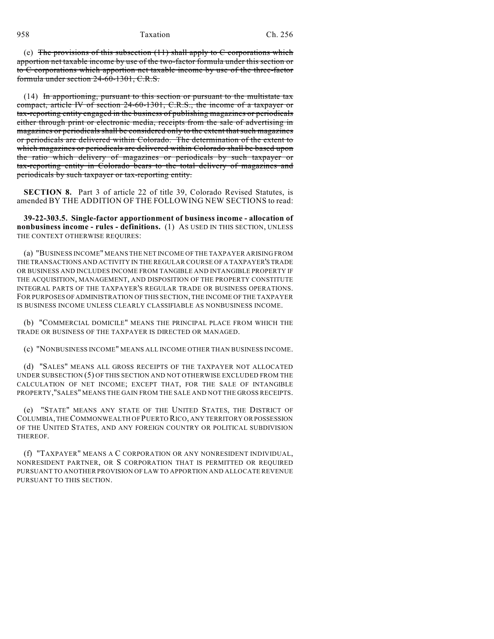958 Taxation Ch. 256

(e) The provisions of this subsection  $(11)$  shall apply to C corporations which apportion net taxable income by use of the two-factor formula under this section or to C corporations which apportion net taxable income by use of the three-factor formula under section 24-60-1301, C.R.S.

(14) In apportioning, pursuant to this section or pursuant to the multistate tax compact, article IV of section 24-60-1301, C.R.S., the income of a taxpayer or tax-reporting entity engaged in the business of publishing magazines or periodicals either through print or electronic media, receipts from the sale of advertising in magazines or periodicals shall be considered only to the extent that such magazines or periodicals are delivered within Colorado. The determination of the extent to which magazines or periodicals are delivered within Colorado shall be based upon the ratio which delivery of magazines or periodicals by such taxpayer or tax-reporting entity in Colorado bears to the total delivery of magazines and periodicals by such taxpayer or tax-reporting entity.

**SECTION 8.** Part 3 of article 22 of title 39, Colorado Revised Statutes, is amended BY THE ADDITION OF THE FOLLOWING NEW SECTIONS to read:

**39-22-303.5. Single-factor apportionment of business income - allocation of nonbusiness income - rules - definitions.** (1) AS USED IN THIS SECTION, UNLESS THE CONTEXT OTHERWISE REQUIRES:

(a) "BUSINESS INCOME" MEANS THE NET INCOME OF THE TAXPAYER ARISING FROM THE TRANSACTIONS AND ACTIVITY IN THE REGULAR COURSE OF A TAXPAYER'S TRADE OR BUSINESS AND INCLUDES INCOME FROM TANGIBLE AND INTANGIBLE PROPERTY IF THE ACQUISITION, MANAGEMENT, AND DISPOSITION OF THE PROPERTY CONSTITUTE INTEGRAL PARTS OF THE TAXPAYER'S REGULAR TRADE OR BUSINESS OPERATIONS. FOR PURPOSES OF ADMINISTRATION OF THIS SECTION, THE INCOME OF THE TAXPAYER IS BUSINESS INCOME UNLESS CLEARLY CLASSIFIABLE AS NONBUSINESS INCOME.

(b) "COMMERCIAL DOMICILE" MEANS THE PRINCIPAL PLACE FROM WHICH THE TRADE OR BUSINESS OF THE TAXPAYER IS DIRECTED OR MANAGED.

(c) "NONBUSINESS INCOME" MEANS ALL INCOME OTHER THAN BUSINESS INCOME.

(d) "SALES" MEANS ALL GROSS RECEIPTS OF THE TAXPAYER NOT ALLOCATED UNDER SUBSECTION (5) OF THIS SECTION AND NOT OTHERWISE EXCLUDED FROM THE CALCULATION OF NET INCOME; EXCEPT THAT, FOR THE SALE OF INTANGIBLE PROPERTY,"SALES" MEANS THE GAIN FROM THE SALE AND NOT THE GROSS RECEIPTS.

(e) "STATE" MEANS ANY STATE OF THE UNITED STATES, THE DISTRICT OF COLUMBIA, THE COMMONWEALTH OF PUERTO RICO, ANY TERRITORY OR POSSESSION OF THE UNITED STATES, AND ANY FOREIGN COUNTRY OR POLITICAL SUBDIVISION THEREOF.

(f) "TAXPAYER" MEANS A C CORPORATION OR ANY NONRESIDENT INDIVIDUAL, NONRESIDENT PARTNER, OR S CORPORATION THAT IS PERMITTED OR REQUIRED PURSUANT TO ANOTHER PROVISION OF LAW TO APPORTION AND ALLOCATE REVENUE PURSUANT TO THIS SECTION.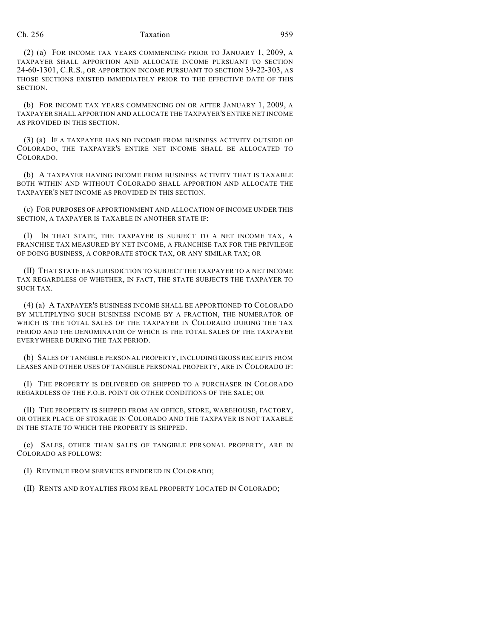(2) (a) FOR INCOME TAX YEARS COMMENCING PRIOR TO JANUARY 1, 2009, A TAXPAYER SHALL APPORTION AND ALLOCATE INCOME PURSUANT TO SECTION 24-60-1301, C.R.S., OR APPORTION INCOME PURSUANT TO SECTION 39-22-303, AS THOSE SECTIONS EXISTED IMMEDIATELY PRIOR TO THE EFFECTIVE DATE OF THIS SECTION.

(b) FOR INCOME TAX YEARS COMMENCING ON OR AFTER JANUARY 1, 2009, A TAXPAYER SHALL APPORTION AND ALLOCATE THE TAXPAYER'S ENTIRE NET INCOME AS PROVIDED IN THIS SECTION.

(3) (a) IF A TAXPAYER HAS NO INCOME FROM BUSINESS ACTIVITY OUTSIDE OF COLORADO, THE TAXPAYER'S ENTIRE NET INCOME SHALL BE ALLOCATED TO COLORADO.

(b) A TAXPAYER HAVING INCOME FROM BUSINESS ACTIVITY THAT IS TAXABLE BOTH WITHIN AND WITHOUT COLORADO SHALL APPORTION AND ALLOCATE THE TAXPAYER'S NET INCOME AS PROVIDED IN THIS SECTION.

(c) FOR PURPOSES OF APPORTIONMENT AND ALLOCATION OF INCOME UNDER THIS SECTION, A TAXPAYER IS TAXABLE IN ANOTHER STATE IF:

(I) IN THAT STATE, THE TAXPAYER IS SUBJECT TO A NET INCOME TAX, A FRANCHISE TAX MEASURED BY NET INCOME, A FRANCHISE TAX FOR THE PRIVILEGE OF DOING BUSINESS, A CORPORATE STOCK TAX, OR ANY SIMILAR TAX; OR

(II) THAT STATE HAS JURISDICTION TO SUBJECT THE TAXPAYER TO A NET INCOME TAX REGARDLESS OF WHETHER, IN FACT, THE STATE SUBJECTS THE TAXPAYER TO SUCH TAX.

(4) (a) A TAXPAYER'S BUSINESS INCOME SHALL BE APPORTIONED TO COLORADO BY MULTIPLYING SUCH BUSINESS INCOME BY A FRACTION, THE NUMERATOR OF WHICH IS THE TOTAL SALES OF THE TAXPAYER IN COLORADO DURING THE TAX PERIOD AND THE DENOMINATOR OF WHICH IS THE TOTAL SALES OF THE TAXPAYER EVERYWHERE DURING THE TAX PERIOD.

(b) SALES OF TANGIBLE PERSONAL PROPERTY, INCLUDING GROSS RECEIPTS FROM LEASES AND OTHER USES OF TANGIBLE PERSONAL PROPERTY, ARE IN COLORADO IF:

(I) THE PROPERTY IS DELIVERED OR SHIPPED TO A PURCHASER IN COLORADO REGARDLESS OF THE F.O.B. POINT OR OTHER CONDITIONS OF THE SALE; OR

(II) THE PROPERTY IS SHIPPED FROM AN OFFICE, STORE, WAREHOUSE, FACTORY, OR OTHER PLACE OF STORAGE IN COLORADO AND THE TAXPAYER IS NOT TAXABLE IN THE STATE TO WHICH THE PROPERTY IS SHIPPED.

(c) SALES, OTHER THAN SALES OF TANGIBLE PERSONAL PROPERTY, ARE IN COLORADO AS FOLLOWS:

(I) REVENUE FROM SERVICES RENDERED IN COLORADO;

(II) RENTS AND ROYALTIES FROM REAL PROPERTY LOCATED IN COLORADO;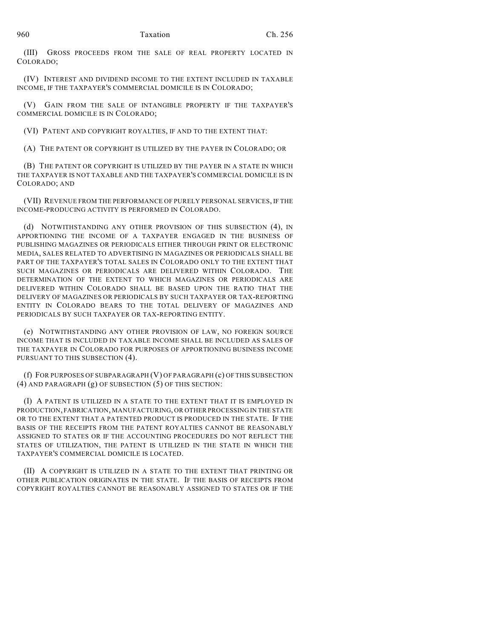(III) GROSS PROCEEDS FROM THE SALE OF REAL PROPERTY LOCATED IN COLORADO;

(IV) INTEREST AND DIVIDEND INCOME TO THE EXTENT INCLUDED IN TAXABLE INCOME, IF THE TAXPAYER'S COMMERCIAL DOMICILE IS IN COLORADO;

(V) GAIN FROM THE SALE OF INTANGIBLE PROPERTY IF THE TAXPAYER'S COMMERCIAL DOMICILE IS IN COLORADO;

(VI) PATENT AND COPYRIGHT ROYALTIES, IF AND TO THE EXTENT THAT:

(A) THE PATENT OR COPYRIGHT IS UTILIZED BY THE PAYER IN COLORADO; OR

(B) THE PATENT OR COPYRIGHT IS UTILIZED BY THE PAYER IN A STATE IN WHICH THE TAXPAYER IS NOT TAXABLE AND THE TAXPAYER'S COMMERCIAL DOMICILE IS IN COLORADO; AND

(VII) REVENUE FROM THE PERFORMANCE OF PURELY PERSONAL SERVICES, IF THE INCOME-PRODUCING ACTIVITY IS PERFORMED IN COLORADO.

(d) NOTWITHSTANDING ANY OTHER PROVISION OF THIS SUBSECTION (4), IN APPORTIONING THE INCOME OF A TAXPAYER ENGAGED IN THE BUSINESS OF PUBLISHING MAGAZINES OR PERIODICALS EITHER THROUGH PRINT OR ELECTRONIC MEDIA, SALES RELATED TO ADVERTISING IN MAGAZINES OR PERIODICALS SHALL BE PART OF THE TAXPAYER'S TOTAL SALES IN COLORADO ONLY TO THE EXTENT THAT SUCH MAGAZINES OR PERIODICALS ARE DELIVERED WITHIN COLORADO. THE DETERMINATION OF THE EXTENT TO WHICH MAGAZINES OR PERIODICALS ARE DELIVERED WITHIN COLORADO SHALL BE BASED UPON THE RATIO THAT THE DELIVERY OF MAGAZINES OR PERIODICALS BY SUCH TAXPAYER OR TAX-REPORTING ENTITY IN COLORADO BEARS TO THE TOTAL DELIVERY OF MAGAZINES AND PERIODICALS BY SUCH TAXPAYER OR TAX-REPORTING ENTITY.

(e) NOTWITHSTANDING ANY OTHER PROVISION OF LAW, NO FOREIGN SOURCE INCOME THAT IS INCLUDED IN TAXABLE INCOME SHALL BE INCLUDED AS SALES OF THE TAXPAYER IN COLORADO FOR PURPOSES OF APPORTIONING BUSINESS INCOME PURSUANT TO THIS SUBSECTION (4).

(f) FOR PURPOSES OF SUBPARAGRAPH (V) OF PARAGRAPH (c) OF THIS SUBSECTION (4) AND PARAGRAPH (g) OF SUBSECTION (5) OF THIS SECTION:

(I) A PATENT IS UTILIZED IN A STATE TO THE EXTENT THAT IT IS EMPLOYED IN PRODUCTION, FABRICATION, MANUFACTURING, OR OTHER PROCESSING IN THE STATE OR TO THE EXTENT THAT A PATENTED PRODUCT IS PRODUCED IN THE STATE. IF THE BASIS OF THE RECEIPTS FROM THE PATENT ROYALTIES CANNOT BE REASONABLY ASSIGNED TO STATES OR IF THE ACCOUNTING PROCEDURES DO NOT REFLECT THE STATES OF UTILIZATION, THE PATENT IS UTILIZED IN THE STATE IN WHICH THE TAXPAYER'S COMMERCIAL DOMICILE IS LOCATED.

(II) A COPYRIGHT IS UTILIZED IN A STATE TO THE EXTENT THAT PRINTING OR OTHER PUBLICATION ORIGINATES IN THE STATE. IF THE BASIS OF RECEIPTS FROM COPYRIGHT ROYALTIES CANNOT BE REASONABLY ASSIGNED TO STATES OR IF THE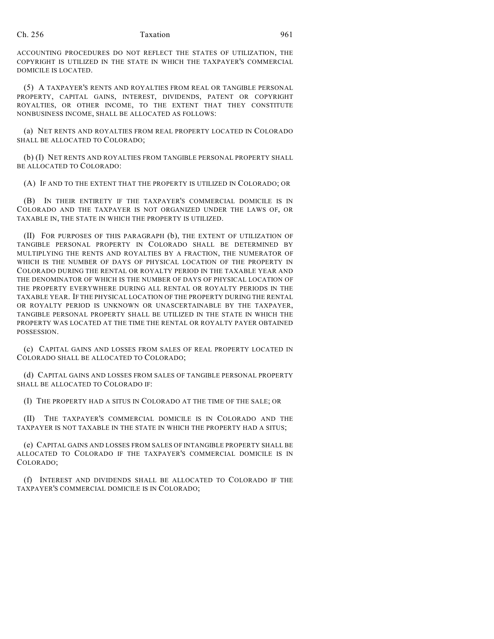ACCOUNTING PROCEDURES DO NOT REFLECT THE STATES OF UTILIZATION, THE COPYRIGHT IS UTILIZED IN THE STATE IN WHICH THE TAXPAYER'S COMMERCIAL DOMICILE IS LOCATED.

(5) A TAXPAYER'S RENTS AND ROYALTIES FROM REAL OR TANGIBLE PERSONAL PROPERTY, CAPITAL GAINS, INTEREST, DIVIDENDS, PATENT OR COPYRIGHT ROYALTIES, OR OTHER INCOME, TO THE EXTENT THAT THEY CONSTITUTE NONBUSINESS INCOME, SHALL BE ALLOCATED AS FOLLOWS:

(a) NET RENTS AND ROYALTIES FROM REAL PROPERTY LOCATED IN COLORADO SHALL BE ALLOCATED TO COLORADO;

(b) (I) NET RENTS AND ROYALTIES FROM TANGIBLE PERSONAL PROPERTY SHALL BE ALLOCATED TO COLORADO:

(A) IF AND TO THE EXTENT THAT THE PROPERTY IS UTILIZED IN COLORADO; OR

(B) IN THEIR ENTIRETY IF THE TAXPAYER'S COMMERCIAL DOMICILE IS IN COLORADO AND THE TAXPAYER IS NOT ORGANIZED UNDER THE LAWS OF, OR TAXABLE IN, THE STATE IN WHICH THE PROPERTY IS UTILIZED.

(II) FOR PURPOSES OF THIS PARAGRAPH (b), THE EXTENT OF UTILIZATION OF TANGIBLE PERSONAL PROPERTY IN COLORADO SHALL BE DETERMINED BY MULTIPLYING THE RENTS AND ROYALTIES BY A FRACTION, THE NUMERATOR OF WHICH IS THE NUMBER OF DAYS OF PHYSICAL LOCATION OF THE PROPERTY IN COLORADO DURING THE RENTAL OR ROYALTY PERIOD IN THE TAXABLE YEAR AND THE DENOMINATOR OF WHICH IS THE NUMBER OF DAYS OF PHYSICAL LOCATION OF THE PROPERTY EVERYWHERE DURING ALL RENTAL OR ROYALTY PERIODS IN THE TAXABLE YEAR. IF THE PHYSICAL LOCATION OF THE PROPERTY DURING THE RENTAL OR ROYALTY PERIOD IS UNKNOWN OR UNASCERTAINABLE BY THE TAXPAYER, TANGIBLE PERSONAL PROPERTY SHALL BE UTILIZED IN THE STATE IN WHICH THE PROPERTY WAS LOCATED AT THE TIME THE RENTAL OR ROYALTY PAYER OBTAINED POSSESSION.

(c) CAPITAL GAINS AND LOSSES FROM SALES OF REAL PROPERTY LOCATED IN COLORADO SHALL BE ALLOCATED TO COLORADO;

(d) CAPITAL GAINS AND LOSSES FROM SALES OF TANGIBLE PERSONAL PROPERTY SHALL BE ALLOCATED TO COLORADO IF:

(I) THE PROPERTY HAD A SITUS IN COLORADO AT THE TIME OF THE SALE; OR

(II) THE TAXPAYER'S COMMERCIAL DOMICILE IS IN COLORADO AND THE TAXPAYER IS NOT TAXABLE IN THE STATE IN WHICH THE PROPERTY HAD A SITUS;

(e) CAPITAL GAINS AND LOSSES FROM SALES OF INTANGIBLE PROPERTY SHALL BE ALLOCATED TO COLORADO IF THE TAXPAYER'S COMMERCIAL DOMICILE IS IN COLORADO;

(f) INTEREST AND DIVIDENDS SHALL BE ALLOCATED TO COLORADO IF THE TAXPAYER'S COMMERCIAL DOMICILE IS IN COLORADO;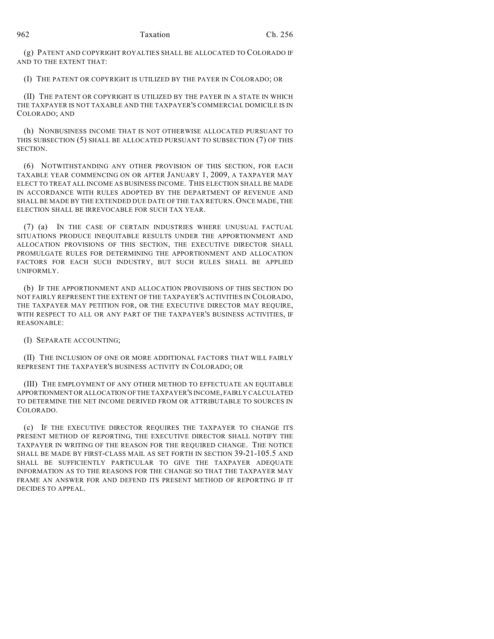(g) PATENT AND COPYRIGHT ROYALTIES SHALL BE ALLOCATED TO COLORADO IF AND TO THE EXTENT THAT:

(I) THE PATENT OR COPYRIGHT IS UTILIZED BY THE PAYER IN COLORADO; OR

(II) THE PATENT OR COPYRIGHT IS UTILIZED BY THE PAYER IN A STATE IN WHICH THE TAXPAYER IS NOT TAXABLE AND THE TAXPAYER'S COMMERCIAL DOMICILE IS IN COLORADO; AND

(h) NONBUSINESS INCOME THAT IS NOT OTHERWISE ALLOCATED PURSUANT TO THIS SUBSECTION (5) SHALL BE ALLOCATED PURSUANT TO SUBSECTION (7) OF THIS SECTION.

(6) NOTWITHSTANDING ANY OTHER PROVISION OF THIS SECTION, FOR EACH TAXABLE YEAR COMMENCING ON OR AFTER JANUARY 1, 2009, A TAXPAYER MAY ELECT TO TREAT ALL INCOME AS BUSINESS INCOME. THIS ELECTION SHALL BE MADE IN ACCORDANCE WITH RULES ADOPTED BY THE DEPARTMENT OF REVENUE AND SHALL BE MADE BY THE EXTENDED DUE DATE OF THE TAX RETURN. ONCE MADE, THE ELECTION SHALL BE IRREVOCABLE FOR SUCH TAX YEAR.

(7) (a) IN THE CASE OF CERTAIN INDUSTRIES WHERE UNUSUAL FACTUAL SITUATIONS PRODUCE INEQUITABLE RESULTS UNDER THE APPORTIONMENT AND ALLOCATION PROVISIONS OF THIS SECTION, THE EXECUTIVE DIRECTOR SHALL PROMULGATE RULES FOR DETERMINING THE APPORTIONMENT AND ALLOCATION FACTORS FOR EACH SUCH INDUSTRY, BUT SUCH RULES SHALL BE APPLIED UNIFORMLY.

(b) IF THE APPORTIONMENT AND ALLOCATION PROVISIONS OF THIS SECTION DO NOT FAIRLY REPRESENT THE EXTENT OF THE TAXPAYER'S ACTIVITIES IN COLORADO, THE TAXPAYER MAY PETITION FOR, OR THE EXECUTIVE DIRECTOR MAY REQUIRE, WITH RESPECT TO ALL OR ANY PART OF THE TAXPAYER'S BUSINESS ACTIVITIES, IF REASONABLE:

(I) SEPARATE ACCOUNTING;

(II) THE INCLUSION OF ONE OR MORE ADDITIONAL FACTORS THAT WILL FAIRLY REPRESENT THE TAXPAYER'S BUSINESS ACTIVITY IN COLORADO; OR

(III) THE EMPLOYMENT OF ANY OTHER METHOD TO EFFECTUATE AN EQUITABLE APPORTIONMENT OR ALLOCATION OF THE TAXPAYER'S INCOME, FAIRLY CALCULATED TO DETERMINE THE NET INCOME DERIVED FROM OR ATTRIBUTABLE TO SOURCES IN COLORADO.

(c) IF THE EXECUTIVE DIRECTOR REQUIRES THE TAXPAYER TO CHANGE ITS PRESENT METHOD OF REPORTING, THE EXECUTIVE DIRECTOR SHALL NOTIFY THE TAXPAYER IN WRITING OF THE REASON FOR THE REQUIRED CHANGE. THE NOTICE SHALL BE MADE BY FIRST-CLASS MAIL AS SET FORTH IN SECTION 39-21-105.5 AND SHALL BE SUFFICIENTLY PARTICULAR TO GIVE THE TAXPAYER ADEQUATE INFORMATION AS TO THE REASONS FOR THE CHANGE SO THAT THE TAXPAYER MAY FRAME AN ANSWER FOR AND DEFEND ITS PRESENT METHOD OF REPORTING IF IT DECIDES TO APPEAL.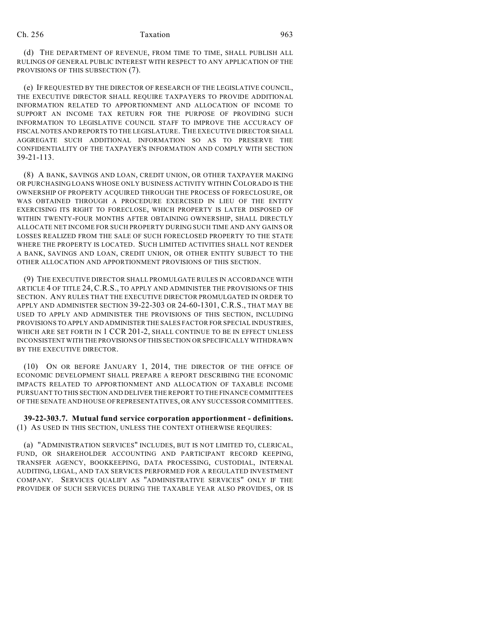(d) THE DEPARTMENT OF REVENUE, FROM TIME TO TIME, SHALL PUBLISH ALL RULINGS OF GENERAL PUBLIC INTEREST WITH RESPECT TO ANY APPLICATION OF THE PROVISIONS OF THIS SUBSECTION (7).

(e) IF REQUESTED BY THE DIRECTOR OF RESEARCH OF THE LEGISLATIVE COUNCIL, THE EXECUTIVE DIRECTOR SHALL REQUIRE TAXPAYERS TO PROVIDE ADDITIONAL INFORMATION RELATED TO APPORTIONMENT AND ALLOCATION OF INCOME TO SUPPORT AN INCOME TAX RETURN FOR THE PURPOSE OF PROVIDING SUCH INFORMATION TO LEGISLATIVE COUNCIL STAFF TO IMPROVE THE ACCURACY OF FISCAL NOTES AND REPORTS TO THE LEGISLATURE. THE EXECUTIVE DIRECTOR SHALL AGGREGATE SUCH ADDITIONAL INFORMATION SO AS TO PRESERVE THE CONFIDENTIALITY OF THE TAXPAYER'S INFORMATION AND COMPLY WITH SECTION 39-21-113.

(8) A BANK, SAVINGS AND LOAN, CREDIT UNION, OR OTHER TAXPAYER MAKING OR PURCHASING LOANS WHOSE ONLY BUSINESS ACTIVITY WITHIN COLORADO IS THE OWNERSHIP OF PROPERTY ACQUIRED THROUGH THE PROCESS OF FORECLOSURE, OR WAS OBTAINED THROUGH A PROCEDURE EXERCISED IN LIEU OF THE ENTITY EXERCISING ITS RIGHT TO FORECLOSE, WHICH PROPERTY IS LATER DISPOSED OF WITHIN TWENTY-FOUR MONTHS AFTER OBTAINING OWNERSHIP, SHALL DIRECTLY ALLOCATE NET INCOME FOR SUCH PROPERTY DURING SUCH TIME AND ANY GAINS OR LOSSES REALIZED FROM THE SALE OF SUCH FORECLOSED PROPERTY TO THE STATE WHERE THE PROPERTY IS LOCATED. SUCH LIMITED ACTIVITIES SHALL NOT RENDER A BANK, SAVINGS AND LOAN, CREDIT UNION, OR OTHER ENTITY SUBJECT TO THE OTHER ALLOCATION AND APPORTIONMENT PROVISIONS OF THIS SECTION.

(9) THE EXECUTIVE DIRECTOR SHALL PROMULGATE RULES IN ACCORDANCE WITH ARTICLE 4 OF TITLE 24, C.R.S., TO APPLY AND ADMINISTER THE PROVISIONS OF THIS SECTION. ANY RULES THAT THE EXECUTIVE DIRECTOR PROMULGATED IN ORDER TO APPLY AND ADMINISTER SECTION 39-22-303 OR 24-60-1301, C.R.S., THAT MAY BE USED TO APPLY AND ADMINISTER THE PROVISIONS OF THIS SECTION, INCLUDING PROVISIONS TO APPLY AND ADMINISTER THE SALES FACTOR FOR SPECIAL INDUSTRIES, WHICH ARE SET FORTH IN 1 CCR 201-2, SHALL CONTINUE TO BE IN EFFECT UNLESS INCONSISTENT WITH THE PROVISIONS OF THIS SECTION OR SPECIFICALLY WITHDRAWN BY THE EXECUTIVE DIRECTOR.

(10) ON OR BEFORE JANUARY 1, 2014, THE DIRECTOR OF THE OFFICE OF ECONOMIC DEVELOPMENT SHALL PREPARE A REPORT DESCRIBING THE ECONOMIC IMPACTS RELATED TO APPORTIONMENT AND ALLOCATION OF TAXABLE INCOME PURSUANT TO THIS SECTION AND DELIVER THE REPORT TO THE FINANCE COMMITTEES OF THE SENATE AND HOUSE OF REPRESENTATIVES, OR ANY SUCCESSOR COMMITTEES.

**39-22-303.7. Mutual fund service corporation apportionment - definitions.** (1) AS USED IN THIS SECTION, UNLESS THE CONTEXT OTHERWISE REQUIRES:

(a) "ADMINISTRATION SERVICES" INCLUDES, BUT IS NOT LIMITED TO, CLERICAL, FUND, OR SHAREHOLDER ACCOUNTING AND PARTICIPANT RECORD KEEPING, TRANSFER AGENCY, BOOKKEEPING, DATA PROCESSING, CUSTODIAL, INTERNAL AUDITING, LEGAL, AND TAX SERVICES PERFORMED FOR A REGULATED INVESTMENT COMPANY. SERVICES QUALIFY AS "ADMINISTRATIVE SERVICES" ONLY IF THE PROVIDER OF SUCH SERVICES DURING THE TAXABLE YEAR ALSO PROVIDES, OR IS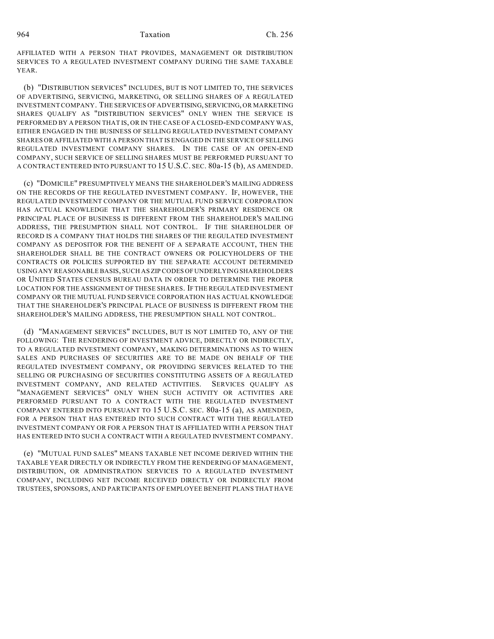AFFILIATED WITH A PERSON THAT PROVIDES, MANAGEMENT OR DISTRIBUTION SERVICES TO A REGULATED INVESTMENT COMPANY DURING THE SAME TAXABLE YEAR.

(b) "DISTRIBUTION SERVICES" INCLUDES, BUT IS NOT LIMITED TO, THE SERVICES OF ADVERTISING, SERVICING, MARKETING, OR SELLING SHARES OF A REGULATED INVESTMENT COMPANY. THE SERVICES OF ADVERTISING, SERVICING, OR MARKETING SHARES QUALIFY AS "DISTRIBUTION SERVICES" ONLY WHEN THE SERVICE IS PERFORMED BY A PERSON THAT IS, OR IN THE CASE OF A CLOSED-END COMPANY WAS, EITHER ENGAGED IN THE BUSINESS OF SELLING REGULATED INVESTMENT COMPANY SHARES OR AFFILIATED WITH A PERSON THAT IS ENGAGED IN THE SERVICE OF SELLING REGULATED INVESTMENT COMPANY SHARES. IN THE CASE OF AN OPEN-END COMPANY, SUCH SERVICE OF SELLING SHARES MUST BE PERFORMED PURSUANT TO A CONTRACT ENTERED INTO PURSUANT TO 15 U.S.C. SEC. 80a-15 (b), AS AMENDED.

(c) "DOMICILE" PRESUMPTIVELY MEANS THE SHAREHOLDER'S MAILING ADDRESS ON THE RECORDS OF THE REGULATED INVESTMENT COMPANY. IF, HOWEVER, THE REGULATED INVESTMENT COMPANY OR THE MUTUAL FUND SERVICE CORPORATION HAS ACTUAL KNOWLEDGE THAT THE SHAREHOLDER'S PRIMARY RESIDENCE OR PRINCIPAL PLACE OF BUSINESS IS DIFFERENT FROM THE SHAREHOLDER'S MAILING ADDRESS, THE PRESUMPTION SHALL NOT CONTROL. IF THE SHAREHOLDER OF RECORD IS A COMPANY THAT HOLDS THE SHARES OF THE REGULATED INVESTMENT COMPANY AS DEPOSITOR FOR THE BENEFIT OF A SEPARATE ACCOUNT, THEN THE SHAREHOLDER SHALL BE THE CONTRACT OWNERS OR POLICYHOLDERS OF THE CONTRACTS OR POLICIES SUPPORTED BY THE SEPARATE ACCOUNT DETERMINED USING ANY REASONABLE BASIS, SUCH AS ZIP CODES OF UNDERLYING SHAREHOLDERS OR UNITED STATES CENSUS BUREAU DATA IN ORDER TO DETERMINE THE PROPER LOCATION FOR THE ASSIGNMENT OF THESE SHARES. IF THE REGULATED INVESTMENT COMPANY OR THE MUTUAL FUND SERVICE CORPORATION HAS ACTUAL KNOWLEDGE THAT THE SHAREHOLDER'S PRINCIPAL PLACE OF BUSINESS IS DIFFERENT FROM THE SHAREHOLDER'S MAILING ADDRESS, THE PRESUMPTION SHALL NOT CONTROL.

(d) "MANAGEMENT SERVICES" INCLUDES, BUT IS NOT LIMITED TO, ANY OF THE FOLLOWING: THE RENDERING OF INVESTMENT ADVICE, DIRECTLY OR INDIRECTLY, TO A REGULATED INVESTMENT COMPANY, MAKING DETERMINATIONS AS TO WHEN SALES AND PURCHASES OF SECURITIES ARE TO BE MADE ON BEHALF OF THE REGULATED INVESTMENT COMPANY, OR PROVIDING SERVICES RELATED TO THE SELLING OR PURCHASING OF SECURITIES CONSTITUTING ASSETS OF A REGULATED INVESTMENT COMPANY, AND RELATED ACTIVITIES. SERVICES QUALIFY AS "MANAGEMENT SERVICES" ONLY WHEN SUCH ACTIVITY OR ACTIVITIES ARE PERFORMED PURSUANT TO A CONTRACT WITH THE REGULATED INVESTMENT COMPANY ENTERED INTO PURSUANT TO 15 U.S.C. SEC. 80a-15 (a), AS AMENDED, FOR A PERSON THAT HAS ENTERED INTO SUCH CONTRACT WITH THE REGULATED INVESTMENT COMPANY OR FOR A PERSON THAT IS AFFILIATED WITH A PERSON THAT HAS ENTERED INTO SUCH A CONTRACT WITH A REGULATED INVESTMENT COMPANY.

(e) "MUTUAL FUND SALES" MEANS TAXABLE NET INCOME DERIVED WITHIN THE TAXABLE YEAR DIRECTLY OR INDIRECTLY FROM THE RENDERING OF MANAGEMENT, DISTRIBUTION, OR ADMINISTRATION SERVICES TO A REGULATED INVESTMENT COMPANY, INCLUDING NET INCOME RECEIVED DIRECTLY OR INDIRECTLY FROM TRUSTEES, SPONSORS, AND PARTICIPANTS OF EMPLOYEE BENEFIT PLANS THAT HAVE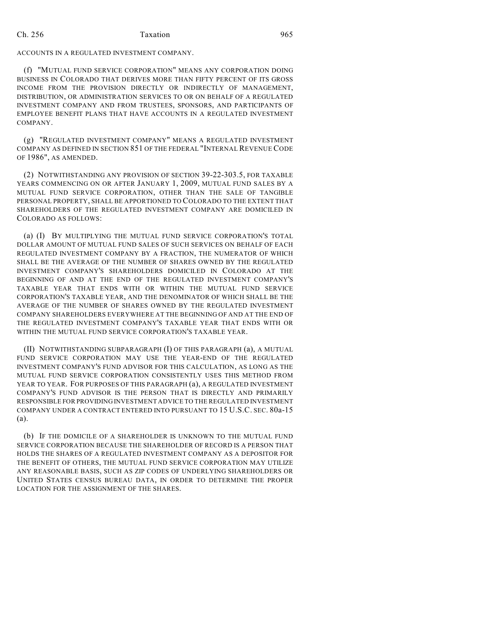ACCOUNTS IN A REGULATED INVESTMENT COMPANY.

(f) "MUTUAL FUND SERVICE CORPORATION" MEANS ANY CORPORATION DOING BUSINESS IN COLORADO THAT DERIVES MORE THAN FIFTY PERCENT OF ITS GROSS INCOME FROM THE PROVISION DIRECTLY OR INDIRECTLY OF MANAGEMENT, DISTRIBUTION, OR ADMINISTRATION SERVICES TO OR ON BEHALF OF A REGULATED INVESTMENT COMPANY AND FROM TRUSTEES, SPONSORS, AND PARTICIPANTS OF EMPLOYEE BENEFIT PLANS THAT HAVE ACCOUNTS IN A REGULATED INVESTMENT COMPANY.

(g) "REGULATED INVESTMENT COMPANY" MEANS A REGULATED INVESTMENT COMPANY AS DEFINED IN SECTION 851 OF THE FEDERAL "INTERNAL REVENUE CODE OF 1986", AS AMENDED.

(2) NOTWITHSTANDING ANY PROVISION OF SECTION 39-22-303.5, FOR TAXABLE YEARS COMMENCING ON OR AFTER JANUARY 1, 2009, MUTUAL FUND SALES BY A MUTUAL FUND SERVICE CORPORATION, OTHER THAN THE SALE OF TANGIBLE PERSONAL PROPERTY, SHALL BE APPORTIONED TO COLORADO TO THE EXTENT THAT SHAREHOLDERS OF THE REGULATED INVESTMENT COMPANY ARE DOMICILED IN COLORADO AS FOLLOWS:

(a) (I) BY MULTIPLYING THE MUTUAL FUND SERVICE CORPORATION'S TOTAL DOLLAR AMOUNT OF MUTUAL FUND SALES OF SUCH SERVICES ON BEHALF OF EACH REGULATED INVESTMENT COMPANY BY A FRACTION, THE NUMERATOR OF WHICH SHALL BE THE AVERAGE OF THE NUMBER OF SHARES OWNED BY THE REGULATED INVESTMENT COMPANY'S SHAREHOLDERS DOMICILED IN COLORADO AT THE BEGINNING OF AND AT THE END OF THE REGULATED INVESTMENT COMPANY'S TAXABLE YEAR THAT ENDS WITH OR WITHIN THE MUTUAL FUND SERVICE CORPORATION'S TAXABLE YEAR, AND THE DENOMINATOR OF WHICH SHALL BE THE AVERAGE OF THE NUMBER OF SHARES OWNED BY THE REGULATED INVESTMENT COMPANY SHAREHOLDERS EVERYWHERE AT THE BEGINNING OF AND AT THE END OF THE REGULATED INVESTMENT COMPANY'S TAXABLE YEAR THAT ENDS WITH OR WITHIN THE MUTUAL FUND SERVICE CORPORATION'S TAXABLE YEAR.

(II) NOTWITHSTANDING SUBPARAGRAPH (I) OF THIS PARAGRAPH (a), A MUTUAL FUND SERVICE CORPORATION MAY USE THE YEAR-END OF THE REGULATED INVESTMENT COMPANY'S FUND ADVISOR FOR THIS CALCULATION, AS LONG AS THE MUTUAL FUND SERVICE CORPORATION CONSISTENTLY USES THIS METHOD FROM YEAR TO YEAR. FOR PURPOSES OF THIS PARAGRAPH (a), A REGULATED INVESTMENT COMPANY'S FUND ADVISOR IS THE PERSON THAT IS DIRECTLY AND PRIMARILY RESPONSIBLE FOR PROVIDING INVESTMENT ADVICE TO THE REGULATED INVESTMENT COMPANY UNDER A CONTRACT ENTERED INTO PURSUANT TO 15 U.S.C. SEC. 80a-15 (a).

(b) IF THE DOMICILE OF A SHAREHOLDER IS UNKNOWN TO THE MUTUAL FUND SERVICE CORPORATION BECAUSE THE SHAREHOLDER OF RECORD IS A PERSON THAT HOLDS THE SHARES OF A REGULATED INVESTMENT COMPANY AS A DEPOSITOR FOR THE BENEFIT OF OTHERS, THE MUTUAL FUND SERVICE CORPORATION MAY UTILIZE ANY REASONABLE BASIS, SUCH AS ZIP CODES OF UNDERLYING SHAREHOLDERS OR UNITED STATES CENSUS BUREAU DATA, IN ORDER TO DETERMINE THE PROPER LOCATION FOR THE ASSIGNMENT OF THE SHARES.